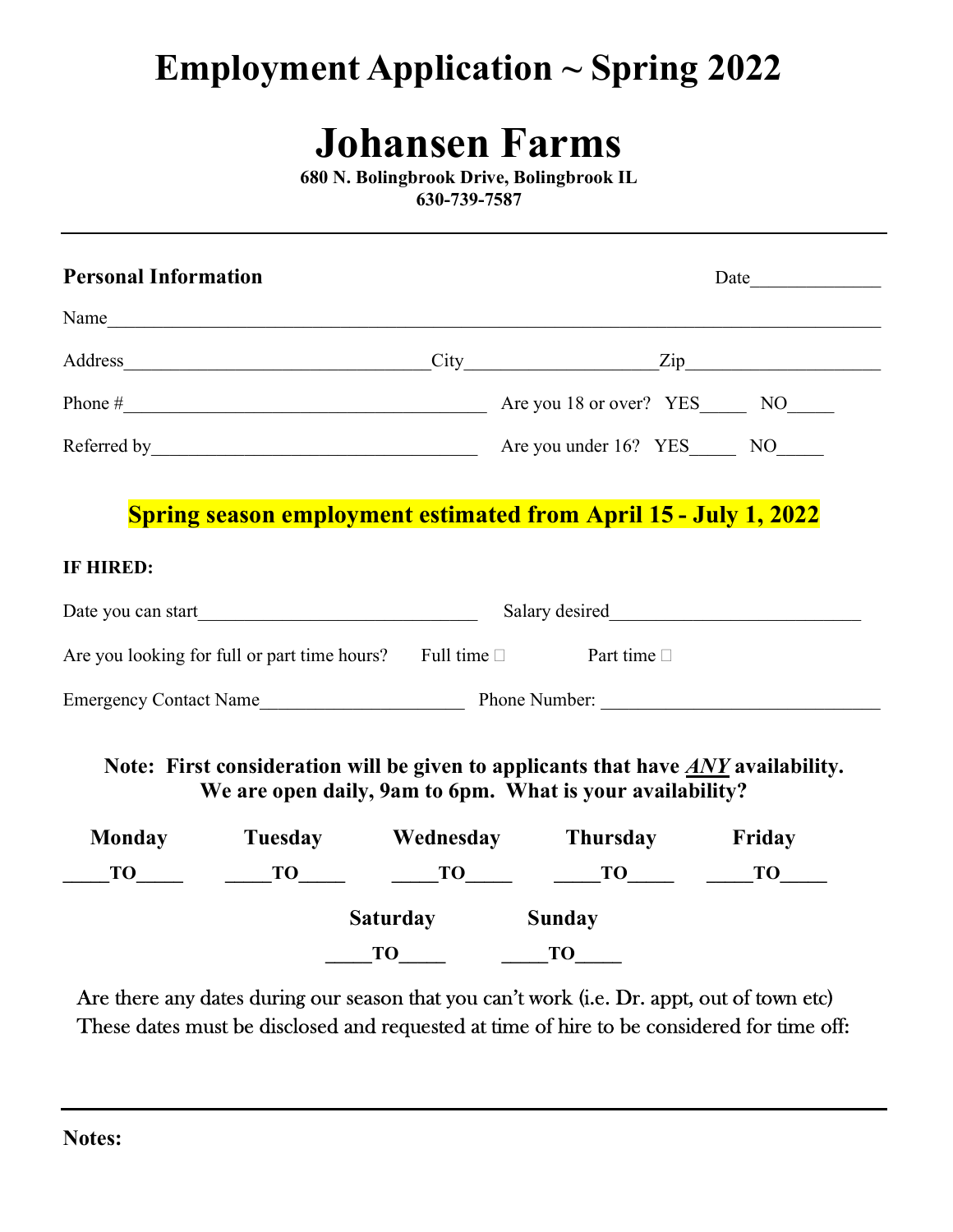## Employment Application ~ Spring 2022

## Johansen Farms

680 N. Bolingbrook Drive, Bolingbrook IL 630-739-7587

| <b>Personal Information</b> |                                                                                |                                                                                                           | Date                                                                                                                                                    |  |
|-----------------------------|--------------------------------------------------------------------------------|-----------------------------------------------------------------------------------------------------------|---------------------------------------------------------------------------------------------------------------------------------------------------------|--|
|                             | Name                                                                           |                                                                                                           |                                                                                                                                                         |  |
|                             |                                                                                |                                                                                                           | Address <u>City Zip</u>                                                                                                                                 |  |
|                             |                                                                                |                                                                                                           |                                                                                                                                                         |  |
|                             |                                                                                |                                                                                                           |                                                                                                                                                         |  |
| IF HIRED:                   |                                                                                |                                                                                                           | <b>Spring season employment estimated from April 15 - July 1, 2022</b>                                                                                  |  |
|                             |                                                                                |                                                                                                           |                                                                                                                                                         |  |
|                             |                                                                                |                                                                                                           |                                                                                                                                                         |  |
|                             | Are you looking for full or part time hours? Full time $\Box$ Part time $\Box$ |                                                                                                           |                                                                                                                                                         |  |
|                             |                                                                                |                                                                                                           |                                                                                                                                                         |  |
|                             |                                                                                |                                                                                                           | Note: First consideration will be given to applicants that have $\angle ANY$ availability.<br>We are open daily, 9am to 6pm. What is your availability? |  |
|                             |                                                                                |                                                                                                           | Monday Tuesday Wednesday Thursday Friday                                                                                                                |  |
|                             |                                                                                |                                                                                                           | $T0$ $T0$ $T0$ $T0$ $T0$ $T0$ $T0$ $T0$                                                                                                                 |  |
|                             |                                                                                | <b>Saturday</b><br>$\underline{\hspace{1cm}}$ TO $\underline{\hspace{1cm}}$ TO $\underline{\hspace{1cm}}$ | <b>Sunday</b>                                                                                                                                           |  |

Are there any dates during our season that you can't work (i.e. Dr. appt, out of town etc) These dates must be disclosed and requested at time of hire to be considered for time off: